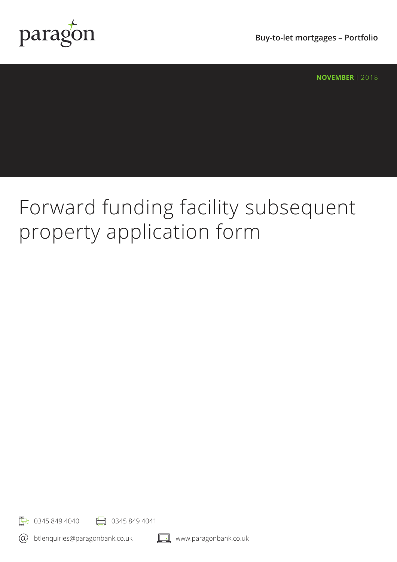

**Buy-to-let mortgages – Portfolio**

**NOVEMBER** | 2018

# Forward funding facility subsequent property application form

 $\frac{1}{2}$  0345 849 4040  $\frac{1}{2}$  0345 849 4041

 $\circledR$ btlenquiries@paragonbank.co.uk

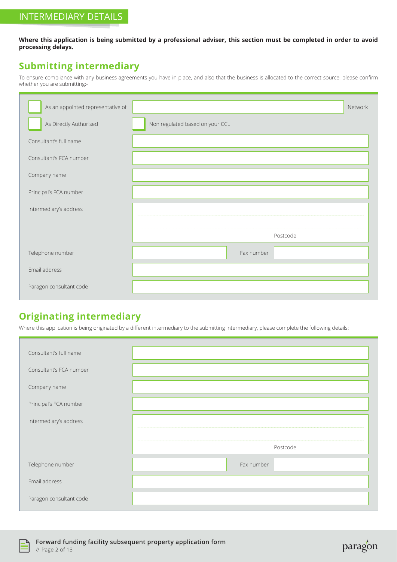**Where this application is being submitted by a professional adviser, this section must be completed in order to avoid processing delays.**

#### **Submitting intermediary**

To ensure compliance with any business agreements you have in place, and also that the business is allocated to the correct source, please confirm whether you are submitting:-

| As an appointed representative of |                                 | Network |
|-----------------------------------|---------------------------------|---------|
| As Directly Authorised            | Non regulated based on your CCL |         |
| Consultant's full name            |                                 |         |
| Consultant's FCA number           |                                 |         |
| Company name                      |                                 |         |
| Principal's FCA number            |                                 |         |
| Intermediary's address            |                                 |         |
|                                   |                                 |         |
|                                   | Postcode                        |         |
| Telephone number                  | Fax number                      |         |
| Email address                     |                                 |         |
| Paragon consultant code           |                                 |         |

#### **Originating intermediary**

Where this application is being originated by a different intermediary to the submitting intermediary, please complete the following details:

| Consultant's full name  |            |
|-------------------------|------------|
| Consultant's FCA number |            |
| Company name            |            |
| Principal's FCA number  |            |
| Intermediary's address  |            |
|                         |            |
|                         | Postcode   |
| Telephone number        | Fax number |
| Email address           |            |
| Paragon consultant code |            |



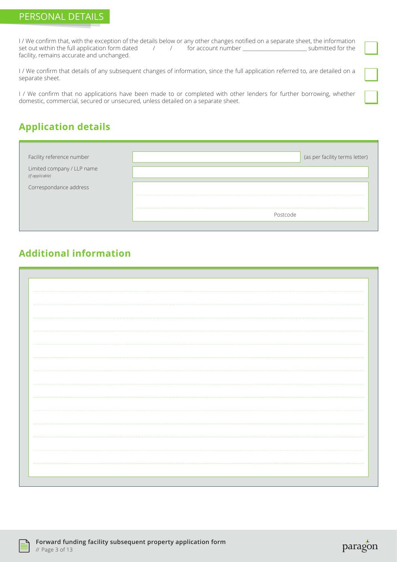I / We confirm that, with the exception of the details below or any other changes notified on a separate sheet, the information set out within the full application form dated  $\frac{1}{2}$  / for account number  $\frac{1}{2}$  submitted for the facility, remains accurate and unchanged.

I / We confirm that details of any subsequent changes of information, since the full application referred to, are detailed on a separate sheet.

I / We confirm that no applications have been made to or completed with other lenders for further borrowing, whether domestic, commercial, secured or unsecured, unless detailed on a separate sheet.

# **Application details**

| Facility reference number                     | (as per facility terms letter) |
|-----------------------------------------------|--------------------------------|
| Limited company / LLP name<br>(if applicable) |                                |
| Correspondance address                        |                                |
|                                               | ahontzo                        |

#### **Additional information**



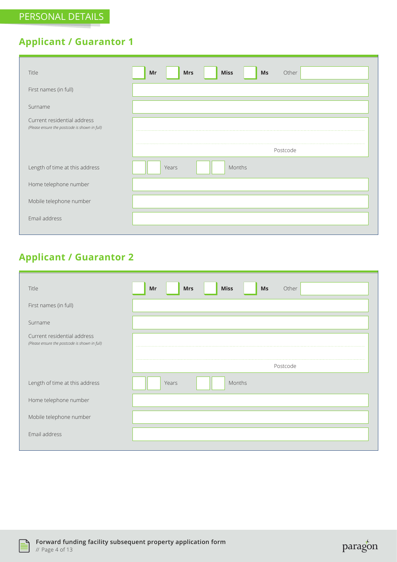# **Applicant / Guarantor 1**

| Title                                                                        | <b>Miss</b><br>Mr<br><b>Mrs</b><br>Ms<br>Other |
|------------------------------------------------------------------------------|------------------------------------------------|
| First names (in full)                                                        |                                                |
| Surname                                                                      |                                                |
| Current residential address<br>(Please ensure the postcode is shown in full) |                                                |
|                                                                              | Postcode                                       |
| Length of time at this address                                               | Years<br>Months                                |
| Home telephone number                                                        |                                                |
| Mobile telephone number                                                      |                                                |
| Email address                                                                |                                                |

# **Applicant / Guarantor 2**

| Title                                                                        | Ms<br>Other<br>Mr<br><b>Mrs</b><br><b>Miss</b> |
|------------------------------------------------------------------------------|------------------------------------------------|
| First names (in full)                                                        |                                                |
| Surname                                                                      |                                                |
| Current residential address<br>(Please ensure the postcode is shown in full) | 1.1.1.1.1<br>                                  |
|                                                                              | Postcode                                       |
| Length of time at this address                                               | Months<br>Years                                |
| Home telephone number                                                        |                                                |
| Mobile telephone number                                                      |                                                |
| Email address                                                                |                                                |



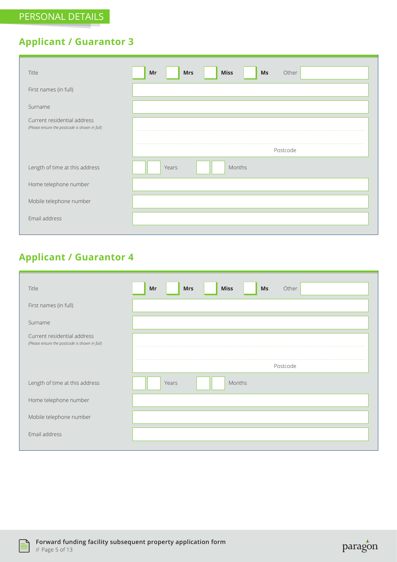# **Applicant / Guarantor 3**

| Title                                                                        | <b>Miss</b><br><b>Mrs</b><br>Other<br>Mr<br>Ms |
|------------------------------------------------------------------------------|------------------------------------------------|
| First names (in full)                                                        |                                                |
| Surname                                                                      |                                                |
| Current residential address<br>(Please ensure the postcode is shown in full) | <b></b><br>                                    |
|                                                                              | Postcode                                       |
| Length of time at this address                                               | Years<br>Months                                |
| Home telephone number                                                        |                                                |
| Mobile telephone number                                                      |                                                |
| Email address                                                                |                                                |

# **Applicant / Guarantor 4**

| Title                                                                        | Other<br>Mr<br><b>Mrs</b><br><b>Miss</b><br>Ms |
|------------------------------------------------------------------------------|------------------------------------------------|
| First names (in full)                                                        |                                                |
| Surname                                                                      |                                                |
| Current residential address<br>(Please ensure the postcode is shown in full) | <b><i><u>ALCOHOL:</u></i></b><br>              |
|                                                                              | Postcode                                       |
| Length of time at this address                                               | Months<br>Years                                |
| Home telephone number                                                        |                                                |
| Mobile telephone number                                                      |                                                |
| Email address                                                                |                                                |



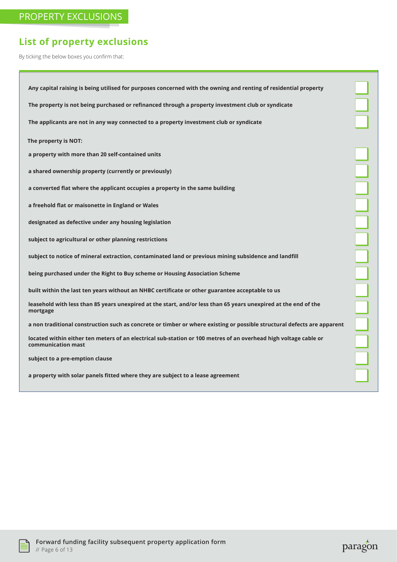# **List of property exclusions**

By ticking the below boxes you confirm that:

| Any capital raising is being utilised for purposes concerned with the owning and renting of residential property                       |  |
|----------------------------------------------------------------------------------------------------------------------------------------|--|
| The property is not being purchased or refinanced through a property investment club or syndicate                                      |  |
| The applicants are not in any way connected to a property investment club or syndicate                                                 |  |
| The property is NOT:                                                                                                                   |  |
| a property with more than 20 self-contained units                                                                                      |  |
| a shared ownership property (currently or previously)                                                                                  |  |
| a converted flat where the applicant occupies a property in the same building                                                          |  |
| a freehold flat or maisonette in England or Wales                                                                                      |  |
| designated as defective under any housing legislation                                                                                  |  |
| subject to agricultural or other planning restrictions                                                                                 |  |
| subject to notice of mineral extraction, contaminated land or previous mining subsidence and landfill                                  |  |
| being purchased under the Right to Buy scheme or Housing Association Scheme                                                            |  |
| built within the last ten years without an NHBC certificate or other guarantee acceptable to us                                        |  |
| leasehold with less than 85 years unexpired at the start, and/or less than 65 years unexpired at the end of the<br>mortgage            |  |
| a non traditional construction such as concrete or timber or where existing or possible structural defects are apparent                |  |
| located within either ten meters of an electrical sub-station or 100 metres of an overhead high voltage cable or<br>communication mast |  |
| subject to a pre-emption clause                                                                                                        |  |
| a property with solar panels fitted where they are subject to a lease agreement                                                        |  |

paragon

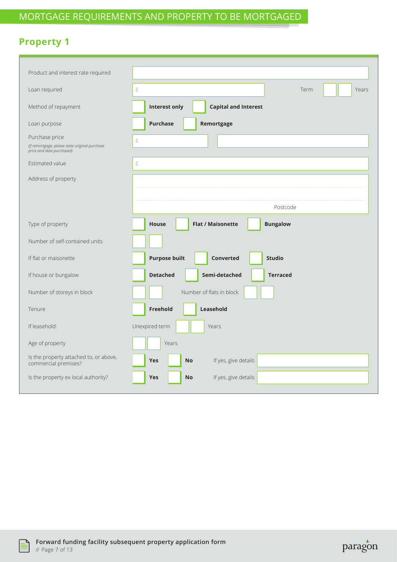# **Property 1**

| Loan required<br>£<br>Term<br>Years<br><b>Interest only</b><br><b>Capital and Interest</b><br>Method of repayment<br><b>Purchase</b><br>Remortgage<br>Loan purpose<br>Purchase price<br>£<br>(if remortgage, please state original purchase<br>price and date purchased)<br>Estimated value<br>£<br>Address of property<br>Postcode<br><b>Flat / Maisonette</b><br><b>Bungalow</b><br>Type of property<br><b>House</b><br>Number of self-contained units<br><b>Purpose built</b><br>If flat or maisonette<br><b>Converted</b><br><b>Studio</b><br><b>Detached</b><br>Semi-detached<br>If house or bungalow<br><b>Terraced</b><br>Number of flats in block<br>Number of storeys in block<br><b>Freehold</b><br>Leasehold<br>Tenure<br>Unexpired term<br>If leasehold:<br>Years<br>Age of property<br>Years<br>Is the property attached to, or above,<br>If yes, give details<br><b>Yes</b><br><b>No</b><br>commercial premises?<br>Is the property ex local authority?<br>If yes, give details<br><b>Yes</b><br><b>No</b> |                                    |  |
|--------------------------------------------------------------------------------------------------------------------------------------------------------------------------------------------------------------------------------------------------------------------------------------------------------------------------------------------------------------------------------------------------------------------------------------------------------------------------------------------------------------------------------------------------------------------------------------------------------------------------------------------------------------------------------------------------------------------------------------------------------------------------------------------------------------------------------------------------------------------------------------------------------------------------------------------------------------------------------------------------------------------------|------------------------------------|--|
|                                                                                                                                                                                                                                                                                                                                                                                                                                                                                                                                                                                                                                                                                                                                                                                                                                                                                                                                                                                                                          | Product and interest rate required |  |
|                                                                                                                                                                                                                                                                                                                                                                                                                                                                                                                                                                                                                                                                                                                                                                                                                                                                                                                                                                                                                          |                                    |  |
|                                                                                                                                                                                                                                                                                                                                                                                                                                                                                                                                                                                                                                                                                                                                                                                                                                                                                                                                                                                                                          |                                    |  |
|                                                                                                                                                                                                                                                                                                                                                                                                                                                                                                                                                                                                                                                                                                                                                                                                                                                                                                                                                                                                                          |                                    |  |
|                                                                                                                                                                                                                                                                                                                                                                                                                                                                                                                                                                                                                                                                                                                                                                                                                                                                                                                                                                                                                          |                                    |  |
|                                                                                                                                                                                                                                                                                                                                                                                                                                                                                                                                                                                                                                                                                                                                                                                                                                                                                                                                                                                                                          |                                    |  |
|                                                                                                                                                                                                                                                                                                                                                                                                                                                                                                                                                                                                                                                                                                                                                                                                                                                                                                                                                                                                                          |                                    |  |
|                                                                                                                                                                                                                                                                                                                                                                                                                                                                                                                                                                                                                                                                                                                                                                                                                                                                                                                                                                                                                          |                                    |  |
|                                                                                                                                                                                                                                                                                                                                                                                                                                                                                                                                                                                                                                                                                                                                                                                                                                                                                                                                                                                                                          |                                    |  |
|                                                                                                                                                                                                                                                                                                                                                                                                                                                                                                                                                                                                                                                                                                                                                                                                                                                                                                                                                                                                                          |                                    |  |
|                                                                                                                                                                                                                                                                                                                                                                                                                                                                                                                                                                                                                                                                                                                                                                                                                                                                                                                                                                                                                          |                                    |  |
|                                                                                                                                                                                                                                                                                                                                                                                                                                                                                                                                                                                                                                                                                                                                                                                                                                                                                                                                                                                                                          |                                    |  |
|                                                                                                                                                                                                                                                                                                                                                                                                                                                                                                                                                                                                                                                                                                                                                                                                                                                                                                                                                                                                                          |                                    |  |
|                                                                                                                                                                                                                                                                                                                                                                                                                                                                                                                                                                                                                                                                                                                                                                                                                                                                                                                                                                                                                          |                                    |  |
|                                                                                                                                                                                                                                                                                                                                                                                                                                                                                                                                                                                                                                                                                                                                                                                                                                                                                                                                                                                                                          |                                    |  |
|                                                                                                                                                                                                                                                                                                                                                                                                                                                                                                                                                                                                                                                                                                                                                                                                                                                                                                                                                                                                                          |                                    |  |
|                                                                                                                                                                                                                                                                                                                                                                                                                                                                                                                                                                                                                                                                                                                                                                                                                                                                                                                                                                                                                          |                                    |  |
|                                                                                                                                                                                                                                                                                                                                                                                                                                                                                                                                                                                                                                                                                                                                                                                                                                                                                                                                                                                                                          |                                    |  |
|                                                                                                                                                                                                                                                                                                                                                                                                                                                                                                                                                                                                                                                                                                                                                                                                                                                                                                                                                                                                                          |                                    |  |



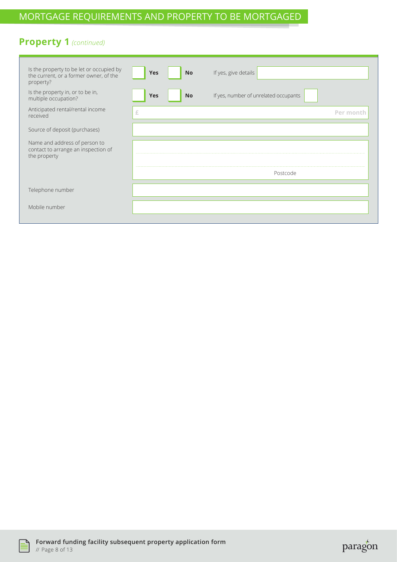### MORTGAGE REQUIREMENTS AND PROPERTY TO BE MORTGAGED

#### **Property 1** *(continued)*

| Is the property to be let or occupied by<br>the current, or a former owner, of the<br>property? | Yes<br><b>No</b>        | If yes, give details                  |
|-------------------------------------------------------------------------------------------------|-------------------------|---------------------------------------|
| Is the property in, or to be in,<br>multiple occupation?                                        | <b>Yes</b><br><b>No</b> | If yes, number of unrelated occupants |
| Anticipated rental/rental income<br>received                                                    | £                       | Per mont                              |
| Source of deposit (purchases)                                                                   |                         |                                       |
| Name and address of person to<br>contact to arrange an inspection of<br>the property            |                         |                                       |
|                                                                                                 |                         | Postcode                              |
| Telephone number                                                                                |                         |                                       |
| Mobile number                                                                                   |                         |                                       |



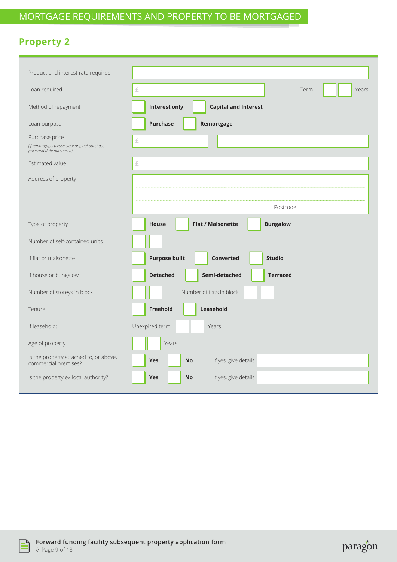# **Property 2**

| Product and interest rate required                                          |                                                             |
|-----------------------------------------------------------------------------|-------------------------------------------------------------|
| Loan required                                                               | £<br>Term<br>Years                                          |
| Method of repayment                                                         | <b>Interest only</b><br><b>Capital and Interest</b>         |
| Loan purpose                                                                | <b>Purchase</b><br>Remortgage                               |
| Purchase price                                                              | £                                                           |
| (if remortgage, please state original purchase<br>price and date purchased) |                                                             |
| Estimated value                                                             | £                                                           |
| Address of property                                                         |                                                             |
|                                                                             |                                                             |
|                                                                             | Postcode                                                    |
|                                                                             |                                                             |
| Type of property                                                            | <b>Flat / Maisonette</b><br><b>Bungalow</b><br><b>House</b> |
| Number of self-contained units                                              |                                                             |
| If flat or maisonette                                                       | <b>Purpose built</b><br><b>Converted</b><br><b>Studio</b>   |
| If house or bungalow                                                        | Semi-detached<br><b>Detached</b><br><b>Terraced</b>         |
| Number of storeys in block                                                  | Number of flats in block                                    |
| Tenure                                                                      | Freehold<br>Leasehold                                       |
| If leasehold:                                                               | Unexpired term<br>Years                                     |
| Age of property                                                             | Years                                                       |
| Is the property attached to, or above,<br>commercial premises?              | <b>Yes</b><br><b>No</b><br>If yes, give details             |
| Is the property ex local authority?                                         | If yes, give details<br><b>Yes</b><br><b>No</b>             |
|                                                                             |                                                             |



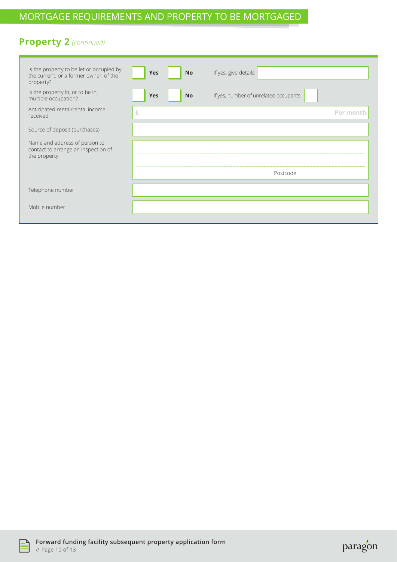### MORTGAGE REQUIREMENTS AND PROPERTY TO BE MORTGAGED

#### **Property 2** *(continued)*

| Is the property to be let or occupied by<br>the current, or a former owner, of the<br>property? | Yes<br><b>No</b>        | If yes, give details                  |  |
|-------------------------------------------------------------------------------------------------|-------------------------|---------------------------------------|--|
| Is the property in, or to be in,<br>multiple occupation?                                        | <b>Yes</b><br><b>No</b> | If yes, number of unrelated occupants |  |
| Anticipated rental/rental income<br>received                                                    | £                       | Per mont                              |  |
| Source of deposit (purchases)                                                                   |                         |                                       |  |
| Name and address of person to<br>contact to arrange an inspection of<br>the property            |                         |                                       |  |
|                                                                                                 | Postcode                |                                       |  |
| Telephone number                                                                                |                         |                                       |  |
| Mobile number                                                                                   |                         |                                       |  |



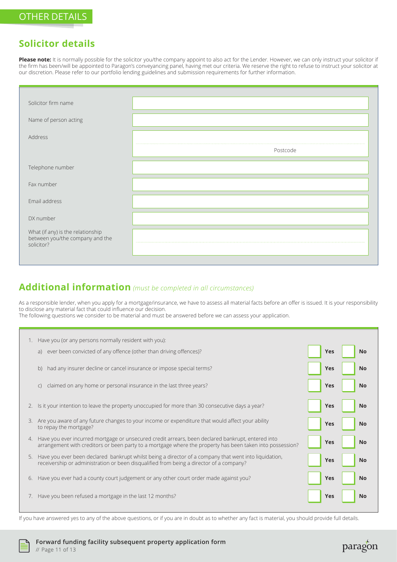#### **Solicitor details**

Please note: It is normally possible for the solicitor you/the company appoint to also act for the Lender. However, we can only instruct your solicitor if the firm has been/will be appointed to Paragon's conveyancing panel, having met our criteria. We reserve the right to refuse to instruct your solicitor at our discretion. Please refer to our portfolio lending guidelines and submission requirements for further information.

| Solicitor firm name                                                                |          |
|------------------------------------------------------------------------------------|----------|
| Name of person acting                                                              |          |
| Address                                                                            |          |
|                                                                                    | Postcode |
| Telephone number                                                                   |          |
| Fax number                                                                         |          |
| Email address                                                                      |          |
| DX number                                                                          |          |
| What (if any) is the relationship<br>between you/the company and the<br>solicitor? |          |

# **Additional information** *(must be completed in all circumstances)*

As a responsible lender, when you apply for a mortgage/insurance, we have to assess all material facts before an offer is issued. It is your responsibility to disclose any material fact that could influence our decision.

The following questions we consider to be material and must be answered before we can assess your application.

|    | 1. Have you (or any persons normally resident with you):                                                                                                                                                          |            |           |
|----|-------------------------------------------------------------------------------------------------------------------------------------------------------------------------------------------------------------------|------------|-----------|
|    | a) ever been convicted of any offence (other than driving offences)?                                                                                                                                              | <b>Yes</b> | No        |
|    | b) had any insurer decline or cancel insurance or impose special terms?                                                                                                                                           | <b>Yes</b> | <b>No</b> |
|    | claimed on any home or personal insurance in the last three years?<br>$\mathsf{C}$                                                                                                                                | <b>Yes</b> | <b>No</b> |
| 2. | Is it your intention to leave the property unoccupied for more than 30 consecutive days a year?                                                                                                                   | <b>Yes</b> | <b>No</b> |
|    | 3. Are you aware of any future changes to your income or expenditure that would affect your ability<br>to repay the mortgage?                                                                                     | <b>Yes</b> | <b>No</b> |
|    | 4. Have you ever incurred mortgage or unsecured credit arrears, been declared bankrupt, entered into<br>arrangement with creditors or been party to a mortgage where the property has been taken into possession? | <b>Yes</b> | <b>No</b> |
|    | 5. Have you ever been declared bankrupt whilst being a director of a company that went into liquidation,<br>receivership or administration or been disqualified from being a director of a company?               | <b>Yes</b> | <b>No</b> |
| 6. | Have you ever had a county court judgement or any other court order made against you?                                                                                                                             | <b>Yes</b> | <b>No</b> |
|    | 7. Have you been refused a mortgage in the last 12 months?                                                                                                                                                        | <b>Yes</b> | <b>No</b> |

If you have answered yes to any of the above questions, or if you are in doubt as to whether any fact is material, you should provide full details.

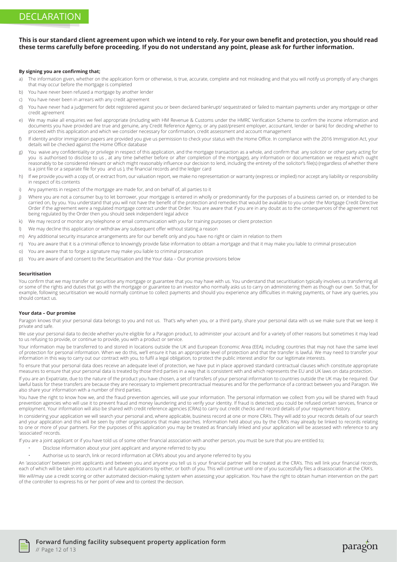#### **This is our standard client agreement upon which we intend to rely. For your own benefit and protection, you should read these terms carefully before proceeding. If you do not understand any point, please ask for further information.**

#### **By signing you are confirming that;**

- a) The information given, whether on the application form or otherwise, is true, accurate, complete and not misleading and that you will notify us promptly of any changes that may occur before the mortgage is completed
- b) You have never been refused a mortgage by another lender
- c) You have never been in arrears with any credit agreement
- d) You have never had a judgement for debt registered against you or been declared bankrupt/ sequestrated or failed to maintain payments under any mortgage or other credit agreement
- e) We may make all enquiries we feel appropriate (including with HM Revenue & Customs under the HMRC Verification Scheme to confirm the income information and documents you have provided are true and genuine, any Credit Reference Agency, or any past/present employer, accountant, lender or bank) for deciding whether to proceed with this application and which we consider necessary for confirmation, credit assessment and account management
- f) If identity and/or immigration papers are provided you give us permission to check your status with the Home Office. In compliance with the 2016 Immigration Act, your details will be checked against the Home Office database
- g) You waive any confidentiality or privilege in respect of this application, and the mortgage transaction as a whole, and confirm that any solicitor or other party acting for you is authorised to disclose to us , at any time (whether before or after completion of the mortgage), any information or documentation we request which ought reasonably to be considered relevant or which might reasonably influence our decision to lend, including the entirety of the solicitor's file(s) (regardless of whether there is a joint file or a separate file for you and us ), the financial records and the ledger card
- h) If we provide you with a copy of, or extract from, our valuation report, we make no representation or warranty (express or implied) nor accept any liability or responsibility in respect of its contents
- i) Any payments in respect of the mortgage are made for, and on behalf of, all parties to it
- i) Where you are not a consumer buy to let borrower, your mortgage is entered in wholly or predominantly for the purposes of a business carried on, or intended to be carried on, by you. You understand that you will not have the benefit of the protection and remedies that would be available to you under the Mortgage Credit Directive Order if the agreement were a regulated mortgage contract under that Order. You are aware that if you are in any doubt as to the consequences of the agreement not being regulated by the Order then you should seek independent legal advice
- k) We may record or monitor any telephone or email communication with you for training purposes or client protection
- l) We may decline this application or withdraw any subsequent offer without stating a reason
- m) Any additional security insurance arrangements are for our benefit only and you have no right or claim in relation to them
- n) You are aware that it is a criminal offence to knowingly provide false information to obtain a mortgage and that it may make you liable to criminal prosecution
- o) You are aware that to forge a signature may make you liable to criminal prosecution
- p) You are aware of and consent to the Securitisation and the Your data Our promise provisions below

#### **Securitisation**

You confirm that we may transfer or securitise any mortgage or guarantee that you may have with us. You understand that securitisation typically involves us transferring all or some of the rights and duties that go with the mortgage or guarantee to an investor who normally asks us to carry on administering them as though our own. So that, for example, following securitisation we would normally continue to collect payments and should you experience any difficulties in making payments, or have any queries, you should contact us.

#### **Your data – Our promise**

Paragon knows that your personal data belongs to you and not us. That's why when you, or a third party, share your personal data with us we make sure that we keep it private and safe.

We use your personal data to decide whether you're eligible for a Paragon product, to administer your account and for a variety of other reasons but sometimes it may lead to us refusing to provide, or continue to provide, you with a product or service.

Your information may be transferred to and stored in locations outside the UK and European Economic Area (EEA), including countries that may not have the same level of protection for personal information. When we do this, we'll ensure it has an appropriate level of protection and that the transfer is lawful. We may need to transfer your information in this way to carry out our contract with you, to fulfil a legal obligation, to protect the public interest and/or for our legitimate interests.

To ensure that your personal data does receive an adequate level of protection, we have put in place approved standard contractual clauses which constitute appropriate measures to ensure that your personal data is treated by those third parties in a way that is consistent with and which represents the EU and UK laws on data protection.

If you are an Expatriate, due to the nature of the product you have chosen, a set of transfers of your personal information to countries outside the UK may be required. Our lawful basis for these transfers are because they are necessary to implement precontractual measures and for the performance of a contract between you and Paragon. We also share your information with a number of third parties.

You have the right to know how we, and the fraud prevention agencies, will use your information. The personal information we collect from you will be shared with fraud prevention agencies who will use it to prevent fraud and money laundering and to verify your identity. If fraud is detected, you could be refused certain services, finance or employment. Your information will also be shared with credit reference agencies (CRAs) to carry out credit checks and record details of your repayment history.

In considering your application we will search your personal and, where applicable, business record at one or more CRA's. They will add to your records details of our search and your application and this will be seen by other organisations that make searches. Information held about you by the CRA's may already be linked to records relating to one or more of your partners. For the purposes of this application you may be treated as financially linked and your application will be assessed with reference to any 'associated' records.

If you are a joint applicant or if you have told us of some other financial association with another person, you must be sure that you are entitled to;

- Disclose information about your joint applicant and anyone referred to by you
- Authorise us to search, link or record information at CRA's about you and anyone referred to by you

An 'association' between joint applicants and between you and anyone you tell us is your financial partner will be created at the CRA's. This will link your financial records, each of which will be taken into account in all future applications by either, or both of you. This will continue until one of you successfully files a disassociation at the CRA's. We will/may use a credit scoring or other automated decision-making system when assessing your application. You have the right to obtain human intervention on the part of the controller to express his or her point of view and to contest the decision.